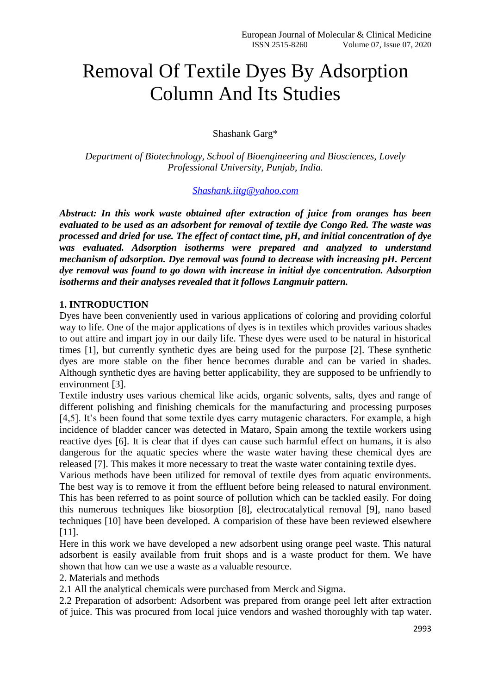## Removal Of Textile Dyes By Adsorption Column And Its Studies

Shashank Garg\*

*Department of Biotechnology, School of Bioengineering and Biosciences, Lovely Professional University, Punjab, India.*

## *[Shashank.iitg@yahoo.com](mailto:Shashank.iitg@yahoo.com)*

*Abstract: In this work waste obtained after extraction of juice from oranges has been evaluated to be used as an adsorbent for removal of textile dye Congo Red. The waste was processed and dried for use. The effect of contact time, pH, and initial concentration of dye was evaluated. Adsorption isotherms were prepared and analyzed to understand mechanism of adsorption. Dye removal was found to decrease with increasing pH. Percent dye removal was found to go down with increase in initial dye concentration. Adsorption isotherms and their analyses revealed that it follows Langmuir pattern.*

## **1. INTRODUCTION**

Dyes have been conveniently used in various applications of coloring and providing colorful way to life. One of the major applications of dyes is in textiles which provides various shades to out attire and impart joy in our daily life. These dyes were used to be natural in historical times [1], but currently synthetic dyes are being used for the purpose [2]. These synthetic dyes are more stable on the fiber hence becomes durable and can be varied in shades. Although synthetic dyes are having better applicability, they are supposed to be unfriendly to environment [3].

Textile industry uses various chemical like acids, organic solvents, salts, dyes and range of different polishing and finishing chemicals for the manufacturing and processing purposes [4,5]. It's been found that some textile dyes carry mutagenic characters. For example, a high incidence of bladder cancer was detected in Mataro, Spain among the textile workers using reactive dyes [6]. It is clear that if dyes can cause such harmful effect on humans, it is also dangerous for the aquatic species where the waste water having these chemical dyes are released [7]. This makes it more necessary to treat the waste water containing textile dyes.

Various methods have been utilized for removal of textile dyes from aquatic environments. The best way is to remove it from the effluent before being released to natural environment. This has been referred to as point source of pollution which can be tackled easily. For doing this numerous techniques like biosorption [8], electrocatalytical removal [9], nano based techniques [10] have been developed. A comparision of these have been reviewed elsewhere [11].

Here in this work we have developed a new adsorbent using orange peel waste. This natural adsorbent is easily available from fruit shops and is a waste product for them. We have shown that how can we use a waste as a valuable resource.

2. Materials and methods

2.1 All the analytical chemicals were purchased from Merck and Sigma.

2.2 Preparation of adsorbent: Adsorbent was prepared from orange peel left after extraction of juice. This was procured from local juice vendors and washed thoroughly with tap water.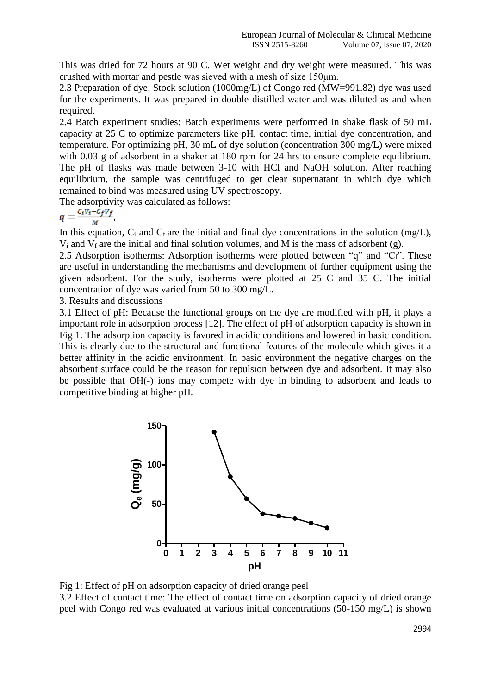This was dried for 72 hours at 90 C. Wet weight and dry weight were measured. This was crushed with mortar and pestle was sieved with a mesh of size 150μm.

2.3 Preparation of dye: Stock solution (1000mg/L) of Congo red (MW=991.82) dye was used for the experiments. It was prepared in double distilled water and was diluted as and when required.

2.4 Batch experiment studies: Batch experiments were performed in shake flask of 50 mL capacity at 25 C to optimize parameters like pH, contact time, initial dye concentration, and temperature. For optimizing pH, 30 mL of dye solution (concentration 300 mg/L) were mixed with 0.03 g of adsorbent in a shaker at 180 rpm for 24 hrs to ensure complete equilibrium. The pH of flasks was made between 3-10 with HCl and NaOH solution. After reaching equilibrium, the sample was centrifuged to get clear supernatant in which dye which remained to bind was measured using UV spectroscopy.

The adsorptivity was calculated as follows:

$$
q=\frac{c_i v_i-c_f v_f}{M},
$$

In this equation,  $C_i$  and  $C_f$  are the initial and final dye concentrations in the solution (mg/L),  $V_i$  and  $V_f$  are the initial and final solution volumes, and M is the mass of adsorbent (g).

2.5 Adsorption isotherms: Adsorption isotherms were plotted between " $q$ " and " $C_f$ ". These are useful in understanding the mechanisms and development of further equipment using the given adsorbent. For the study, isotherms were plotted at 25 C and 35 C. The initial concentration of dye was varied from 50 to 300 mg/L.

3. Results and discussions

3.1 Effect of pH: Because the functional groups on the dye are modified with pH, it plays a important role in adsorption process [12]. The effect of pH of adsorption capacity is shown in Fig 1. The adsorption capacity is favored in acidic conditions and lowered in basic condition. This is clearly due to the structural and functional features of the molecule which gives it a better affinity in the acidic environment. In basic environment the negative charges on the absorbent surface could be the reason for repulsion between dye and adsorbent. It may also be possible that OH(-) ions may compete with dye in binding to adsorbent and leads to competitive binding at higher pH.



Fig 1: Effect of pH on adsorption capacity of dried orange peel 3.2 Effect of contact time: The effect of contact time on adsorption capacity of dried orange peel with Congo red was evaluated at various initial concentrations (50-150 mg/L) is shown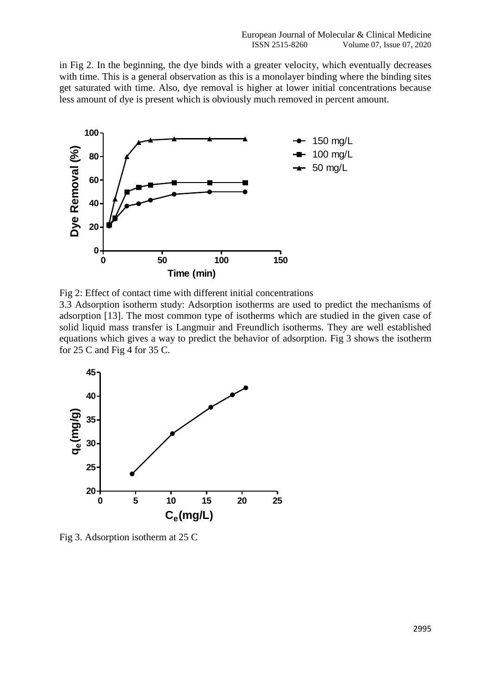in Fig 2. In the beginning, the dye binds with a greater velocity, which eventually decreases with time. This is a general observation as this is a monolayer binding where the binding sites get saturated with time. Also, dye removal is higher at lower initial concentrations because less amount of dye is present which is obviously much removed in percent amount.



Fig 2: Effect of contact time with different initial concentrations

3.3 Adsorption isotherm study: Adsorption isotherms are used to predict the mechanisms of adsorption [13]. The most common type of isotherms which are studied in the given case of solid liquid mass transfer is Langmuir and Freundlich isotherms. They are well established equations which gives a way to predict the behavior of adsorption. Fig 3 shows the isotherm for 25 C and Fig 4 for 35 C.



Fig 3. Adsorption isotherm at 25 C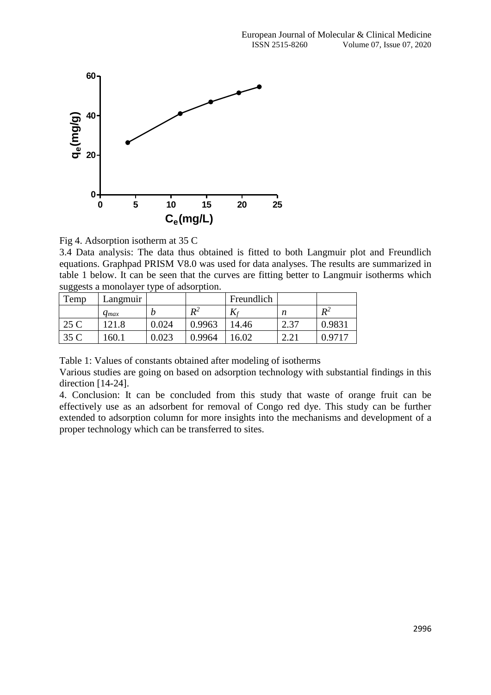

Fig 4. Adsorption isotherm at 35 C

3.4 Data analysis: The data thus obtained is fitted to both Langmuir plot and Freundlich equations. Graphpad PRISM V8.0 was used for data analyses. The results are summarized in table 1 below. It can be seen that the curves are fitting better to Langmuir isotherms which suggests a monolayer type of adsorption.

| Temp | Langmuir  |           |         | Freundlich |                   |        |
|------|-----------|-----------|---------|------------|-------------------|--------|
|      | $q_{max}$ |           | $\,R^2$ |            | n                 | $R^2$  |
| 25 C | 21.8      | 0.024     | 0.9963  | 14.46      | 27<br>$\angle$ .J | 0.9831 |
| 35 C | 160.1     | $0.023\,$ | 0.9964  | 16.02      | $\Omega$<br>4.ZI  | 0.9717 |

Table 1: Values of constants obtained after modeling of isotherms

Various studies are going on based on adsorption technology with substantial findings in this direction [14-24].

4. Conclusion: It can be concluded from this study that waste of orange fruit can be effectively use as an adsorbent for removal of Congo red dye. This study can be further extended to adsorption column for more insights into the mechanisms and development of a proper technology which can be transferred to sites.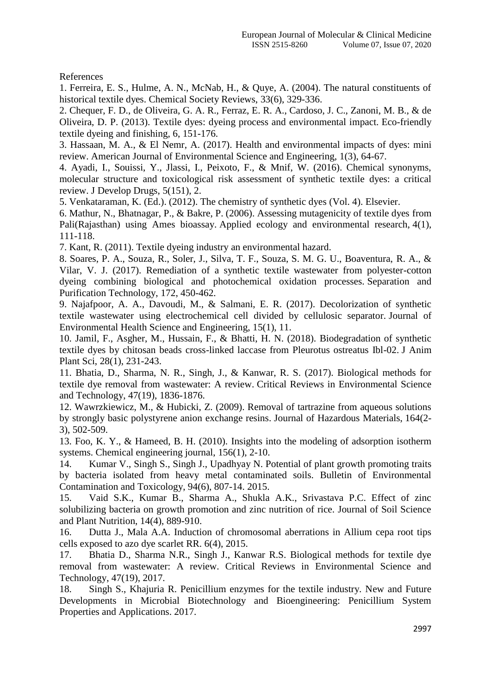References

1. Ferreira, E. S., Hulme, A. N., McNab, H., & Quye, A. (2004). The natural constituents of historical textile dyes. Chemical Society Reviews, 33(6), 329-336.

2. Chequer, F. D., de Oliveira, G. A. R., Ferraz, E. R. A., Cardoso, J. C., Zanoni, M. B., & de Oliveira, D. P. (2013). Textile dyes: dyeing process and environmental impact. Eco-friendly textile dyeing and finishing, 6, 151-176.

3. Hassaan, M. A., & El Nemr, A. (2017). Health and environmental impacts of dyes: mini review. American Journal of Environmental Science and Engineering, 1(3), 64-67.

4. Ayadi, I., Souissi, Y., Jlassi, I., Peixoto, F., & Mnif, W. (2016). Chemical synonyms, molecular structure and toxicological risk assessment of synthetic textile dyes: a critical review. J Develop Drugs, 5(151), 2.

5. Venkataraman, K. (Ed.). (2012). The chemistry of synthetic dyes (Vol. 4). Elsevier.

6. Mathur, N., Bhatnagar, P., & Bakre, P. (2006). Assessing mutagenicity of textile dyes from Pali(Rajasthan) using Ames bioassay. Applied ecology and environmental research, 4(1), 111-118.

7. Kant, R. (2011). Textile dyeing industry an environmental hazard.

8. Soares, P. A., Souza, R., Soler, J., Silva, T. F., Souza, S. M. G. U., Boaventura, R. A., & Vilar, V. J. (2017). Remediation of a synthetic textile wastewater from polyester-cotton dyeing combining biological and photochemical oxidation processes. Separation and Purification Technology, 172, 450-462.

9. Najafpoor, A. A., Davoudi, M., & Salmani, E. R. (2017). Decolorization of synthetic textile wastewater using electrochemical cell divided by cellulosic separator. Journal of Environmental Health Science and Engineering, 15(1), 11.

10. Jamil, F., Asgher, M., Hussain, F., & Bhatti, H. N. (2018). Biodegradation of synthetic textile dyes by chitosan beads cross-linked laccase from Pleurotus ostreatus Ibl-02. J Anim Plant Sci, 28(1), 231-243.

11. Bhatia, D., Sharma, N. R., Singh, J., & Kanwar, R. S. (2017). Biological methods for textile dye removal from wastewater: A review. Critical Reviews in Environmental Science and Technology, 47(19), 1836-1876.

12. Wawrzkiewicz, M., & Hubicki, Z. (2009). Removal of tartrazine from aqueous solutions by strongly basic polystyrene anion exchange resins. Journal of Hazardous Materials, 164(2- 3), 502-509.

13. Foo, K. Y., & Hameed, B. H. (2010). Insights into the modeling of adsorption isotherm systems. Chemical engineering journal, 156(1), 2-10.

14. Kumar V., Singh S., Singh J., Upadhyay N. Potential of plant growth promoting traits by bacteria isolated from heavy metal contaminated soils. Bulletin of Environmental Contamination and Toxicology, 94(6), 807-14. 2015.

15. Vaid S.K., Kumar B., Sharma A., Shukla A.K., Srivastava P.C. Effect of zinc solubilizing bacteria on growth promotion and zinc nutrition of rice. Journal of Soil Science and Plant Nutrition, 14(4), 889-910.

16. Dutta J., Mala A.A. Induction of chromosomal aberrations in Allium cepa root tips cells exposed to azo dye scarlet RR. 6(4), 2015.

17. Bhatia D., Sharma N.R., Singh J., Kanwar R.S. Biological methods for textile dye removal from wastewater: A review. Critical Reviews in Environmental Science and Technology, 47(19), 2017.

18. Singh S., Khajuria R. Penicillium enzymes for the textile industry. New and Future Developments in Microbial Biotechnology and Bioengineering: Penicillium System Properties and Applications. 2017.